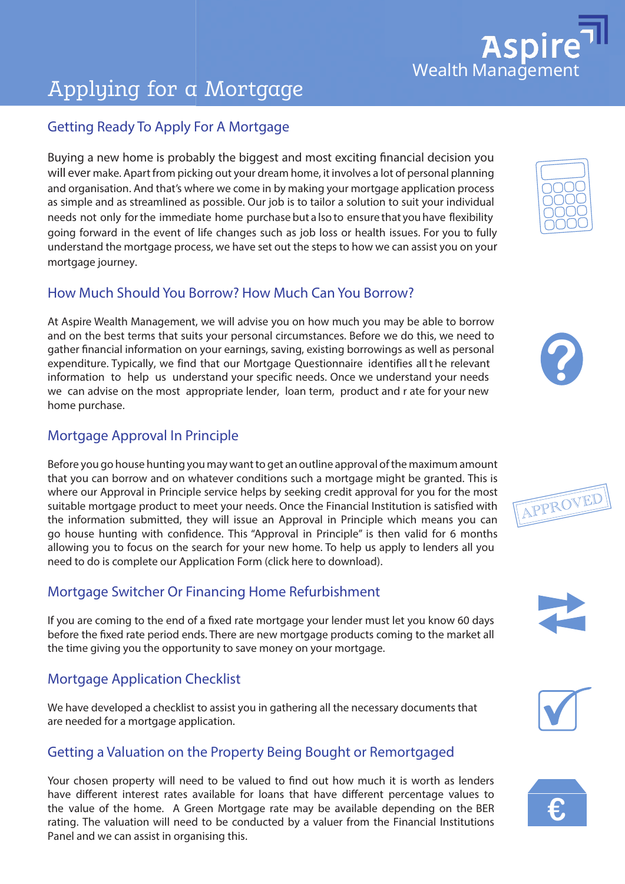# **Aspire**

# Applying for a Mortgage

# Getting Ready To Apply For A Mortgage

Buying a new home is probably the biggest and most exciting financial decision you will ever make. Apart from picking out your dream home, it involves a lot of personal planning and organisation. And that's where we come in by making your mortgage application process as simple and as streamlined as possible. Our job is to tailor a solution to suit your individual needs not only for the immediate home purchase but a lso to ensure that you have flexibility going forward in the event of life changes such as job loss or health issues. For you to fully understand the mortgage process, we have set out the steps to how we can assist you on your<br>mortgage journey.<br>Howeld a Sharel Sharel Ware Reserved House Marsh Gare Your Reserved. mortgage journey. From the symalling your mortgage application process<br>
le. Our job is to tailor a solution to suit your individual<br>
the purchase but a lso to ensure that you have flexibility

#### How Much Should You Borrow? How Much Can You Borrow?

At Aspire Wealth Management, we will advise you on how much you may be able to borrow and on the best terms that suits your personal circumstances. Before we do this, we need to gather financial information on your earnings, saving, existing borrowings as well as personal expenditure. Typically, we find that our Mortgage Questionnaire identifies all t he relevant information to help us understand your specific needs. Once we understand your needs we can advise on the most appropriate lender, loan term, product and r ate for your new home purchase. **Example 3**<br>**Example 3**<br>**Example 3**<br>**Example 3**<br>**Example 3**<br>**Example 3** 

# Mortgage Approval In Principle

Before you go house hunting you may want to get an outline approval of the maximum amount that you can borrow and on whatever conditions such a mortgage might be granted. This is where our Approval in Principle service helps by seeking credit approval for you for the most suitable mortgage product to meet your needs. Once the Financial Institution is satisfied with the information submitted, they will issue an Approval in Principle which means you can<br>the information submitted, they will issue an Approval in Principle which means you can go house hunting with confidence. This "Approval in Principle" is then valid for 6 months allowing you to focus on the search for your new home. To help us apply to lenders all you need to do is complete our Application Form (click here to download).

## Mortgage Switcher Or Financing Home Refurbishment

If you are coming to the end of a fixed rate mortgage your lender must let you know 60 days before the fixed rate period ends. There are new mortgage products coming to the market all the time giving you the opportunity to save money on your mortgage.

# Mortgage Application Checklist

We have developed a checklist to assist you in gathering all the necessary documents that **€** are needed for a mortgage application.

## Getting a Valuation on the Property Being Bought or Remortgaged

Your chosen property will need to be valued to find out how much it is worth as lenders have different interest rates available for loans that have different percentage values to the value of the home. A Green Mortgage rate may be available depending on the BER rating. The valuation will need to be conducted by a valuer from the Financial Institutions Panel and we can assist in organising this.